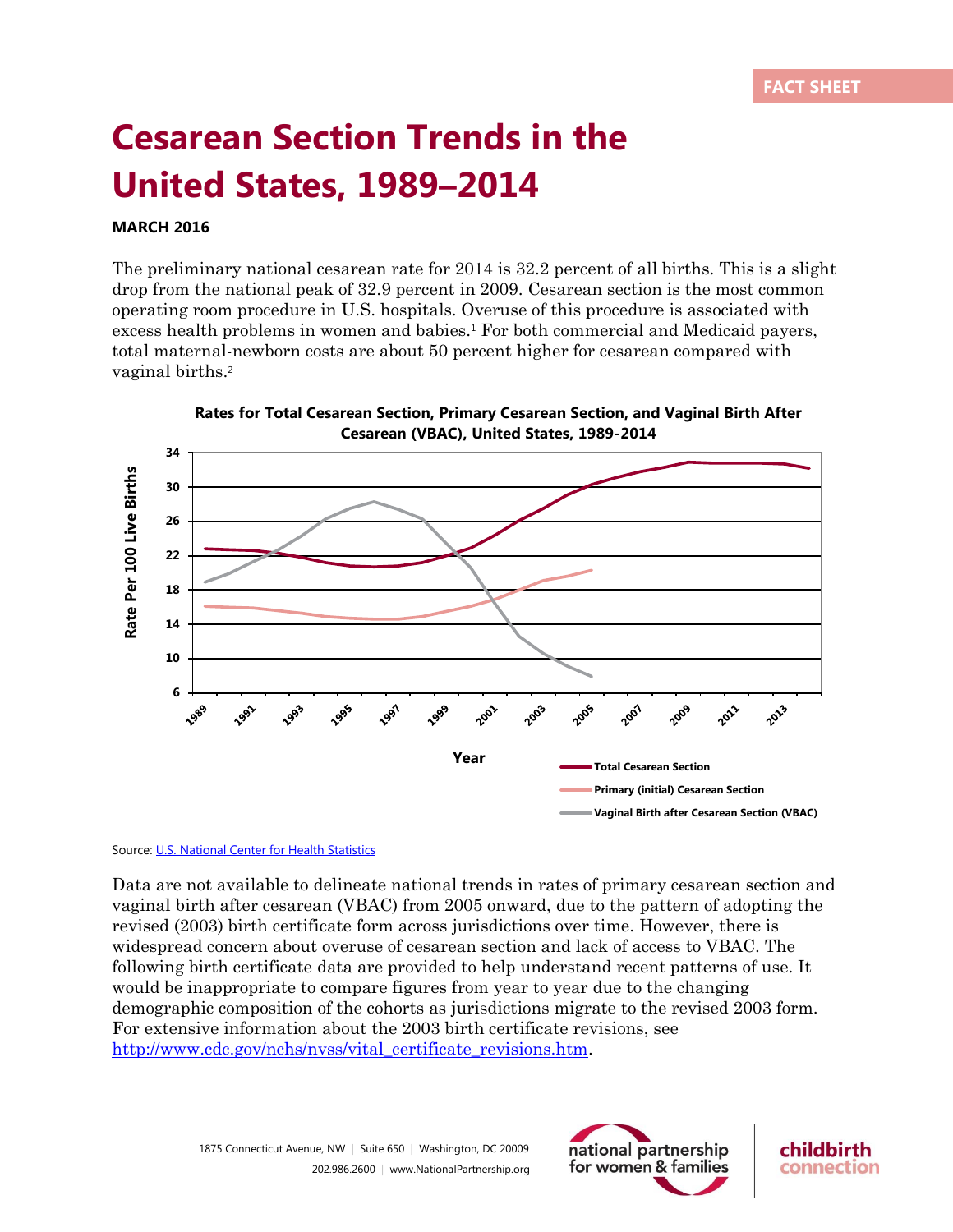## **Cesarean Section Trends in the United States, 1989–2014**

## **MARCH 2016**

The preliminary national cesarean rate for 2014 is 32.2 percent of all births. This is a slight drop from the national peak of 32.9 percent in 2009. Cesarean section is the most common operating room procedure in U.S. hospitals. Overuse of this procedure is associated with excess health problems in women and babies.<sup>1</sup> For both commercial and Medicaid payers, total maternal-newborn costs are about 50 percent higher for cesarean compared with vaginal births.<sup>2</sup>

**Cesarean (VBAC), United States, 1989-2014 34** Rate Per 100 Live Births **Rate Per 100 Live Births 30 26 22 18 14 10 6 1997** 2003 2013 **V989 1993** 1995 1999 2005 2007 2009 1991 2001 2011 **Year Total Cesarean Section Primary (initial) Cesarean Section Vaginal Birth after Cesarean Section (VBAC)**

**Rates for Total Cesarean Section, Primary Cesarean Section, and Vaginal Birth After** 

## Source: [U.S. National Center for Health Statistics](http://www.cdc.gov/nchs/fastats/delivery.htm)

Data are not available to delineate national trends in rates of primary cesarean section and vaginal birth after cesarean (VBAC) from 2005 onward, due to the pattern of adopting the revised (2003) birth certificate form across jurisdictions over time. However, there is widespread concern about overuse of cesarean section and lack of access to VBAC. The following birth certificate data are provided to help understand recent patterns of use. It would be inappropriate to compare figures from year to year due to the changing demographic composition of the cohorts as jurisdictions migrate to the revised 2003 form. For extensive information about the 2003 birth certificate revisions, see http://www.cdc.gov/nchs/nyss/vital\_certificate\_revisions.htm.



childbirth

connection